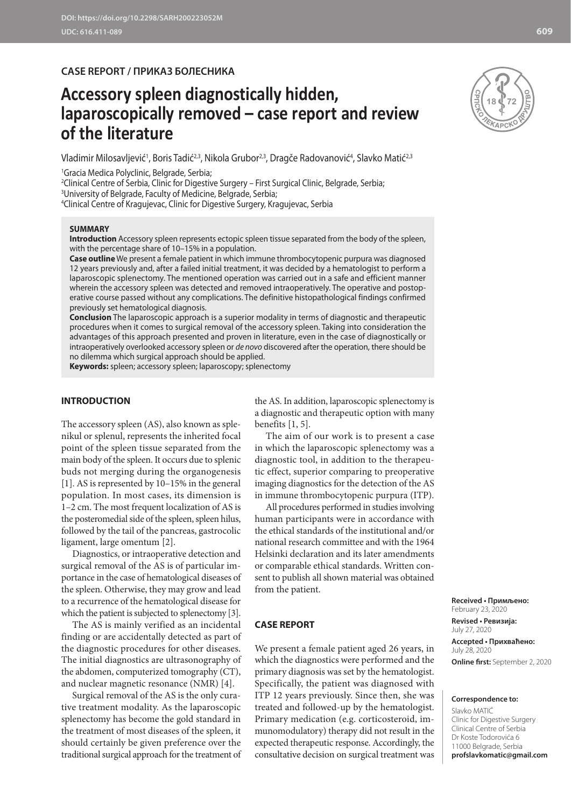**CASE REPORT / ПРИКАЗ БОЛЕСНИКА**

# **Accessory spleen diagnostically hidden, laparoscopically removed – case report and review of the literature**

Vladimir Milosavljević<sup>1</sup>, Boris Tadić<sup>2,3</sup>, Nikola Grubor<sup>2,3</sup>, Dragče Radovanović<sup>4</sup>, Slavko Matić<sup>2,3</sup>

1 Gracia Medica Polyclinic, Belgrade, Serbia;

2 Clinical Centre of Serbia, Clinic for Digestive Surgery – First Surgical Clinic, Belgrade, Serbia; 3 University of Belgrade, Faculty of Medicine, Belgrade, Serbia;

4 Clinical Centre of Kragujevac, Clinic for Digestive Surgery, Kragujevac, Serbia

## **SUMMARY**

**Introduction** Accessory spleen represents ectopic spleen tissue separated from the body of the spleen, with the percentage share of 10–15% in a population.

**Case outline** We present a female patient in which immune thrombocytopenic purpura was diagnosed 12 years previously and, after a failed initial treatment, it was decided by a hematologist to perform a laparoscopic splenectomy. The mentioned operation was carried out in a safe and efficient manner wherein the accessory spleen was detected and removed intraoperatively. The operative and postoperative course passed without any complications. The definitive histopathological findings confirmed previously set hematological diagnosis.

**Conclusion** The laparoscopic approach is a superior modality in terms of diagnostic and therapeutic procedures when it comes to surgical removal of the accessory spleen. Taking into consideration the advantages of this approach presented and proven in literature, even in the case of diagnostically or intraoperatively overlooked accessory spleen or *de novo* discovered after the operation, there should be no dilemma which surgical approach should be applied.

**Keywords:** spleen; accessory spleen; laparoscopy; splenectomy

# **INTRODUCTION**

The accessory spleen (AS), also known as splenikul or splenul, represents the inherited focal point of the spleen tissue separated from the main body of the spleen. It occurs due to splenic buds not merging during the organogenesis [1]. AS is represented by 10–15% in the general population. In most cases, its dimension is 1–2 cm. The most frequent localization of AS is the posteromedial side of the spleen, spleen hilus, followed by the tail of the pancreas, gastrocolic ligament, large omentum [2].

Diagnostics, or intraoperative detection and surgical removal of the AS is of particular importance in the case of hematological diseases of the spleen. Otherwise, they may grow and lead to a recurrence of the hematological disease for which the patient is subjected to splenectomy [3].

The AS is mainly verified as an incidental finding or are accidentally detected as part of the diagnostic procedures for other diseases. The initial diagnostics are ultrasonography of the abdomen, computerized tomography (CT), and nuclear magnetic resonance (NMR) [4].

Surgical removal of the AS is the only curative treatment modality. As the laparoscopic splenectomy has become the gold standard in the treatment of most diseases of the spleen, it should certainly be given preference over the traditional surgical approach for the treatment of

the AS. In addition, laparoscopic splenectomy is a diagnostic and therapeutic option with many benefits [1, 5].

The aim of our work is to present a case in which the laparoscopic splenectomy was a diagnostic tool, in addition to the therapeutic effect, superior comparing to preoperative imaging diagnostics for the detection of the AS in immune thrombocytopenic purpura (ITP).

All procedures performed in studies involving human participants were in accordance with the ethical standards of the institutional and/or national research committee and with the 1964 Helsinki declaration and its later amendments or comparable ethical standards. Written consent to publish all shown material was obtained from the patient.

# **CASE REPORT**

We present a female patient aged 26 years, in which the diagnostics were performed and the primary diagnosis was set by the hematologist. Specifically, the patient was diagnosed with ITP 12 years previously. Since then, she was treated and followed-up by the hematologist. Primary medication (e.g. corticosteroid, immunomodulatory) therapy did not result in the expected therapeutic response. Accordingly, the consultative decision on surgical treatment was

**Received • Примљено:**  February 23, 2020

**Revised • Ревизија:**  July 27, 2020 **Accepted • Прихваћено:** July 28, 2020 **Online first:** September 2, 2020

#### **Correspondence to:**

Slavko MATIĆ Clinic for Digestive Surgery Clinical Centre of Serbia Dr Koste Todorovića 6 11000 Belgrade, Serbia **profslavkomatic@gmail.com**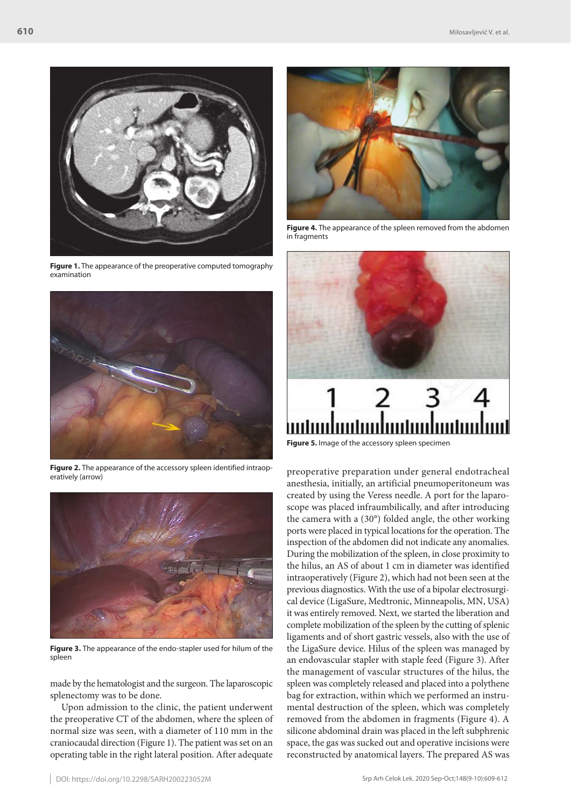

**Figure 1.** The appearance of the preoperative computed tomography examination



Figure 2. The appearance of the accessory spleen identified intraoperatively (arrow)



**Figure 3.** The appearance of the endo-stapler used for hilum of the spleen

made by the hematologist and the surgeon. The laparoscopic splenectomy was to be done.

Upon admission to the clinic, the patient underwent the preoperative CT of the abdomen, where the spleen of normal size was seen, with a diameter of 110 mm in the craniocaudal direction (Figure 1). The patient was set on an operating table in the right lateral position. After adequate



**Figure 4.** The appearance of the spleen removed from the abdomen in fragments



**Figure 5.** Image of the accessory spleen specimen

preoperative preparation under general endotracheal anesthesia, initially, an artificial pneumoperitoneum was created by using the Veress needle. A port for the laparoscope was placed infraumbilically, and after introducing the camera with a (30°) folded angle, the other working ports were placed in typical locations for the operation. The inspection of the abdomen did not indicate any anomalies. During the mobilization of the spleen, in close proximity to the hilus, an AS of about 1 cm in diameter was identified intraoperatively (Figure 2), which had not been seen at the previous diagnostics. With the use of a bipolar electrosurgical device (LigaSure, Medtronic, Minneapolis, MN, USA) it was entirely removed. Next, we started the liberation and complete mobilization of the spleen by the cutting of splenic ligaments and of short gastric vessels, also with the use of the LigaSure device. Hilus of the spleen was managed by an endovascular stapler with staple feed (Figure 3). After the management of vascular structures of the hilus, the spleen was completely released and placed into a polythene bag for extraction, within which we performed an instrumental destruction of the spleen, which was completely removed from the abdomen in fragments (Figure 4). А silicone abdominal drain was placed in the left subphrenic space, the gas was sucked out and operative incisions were reconstructed by anatomical layers. The prepared AS was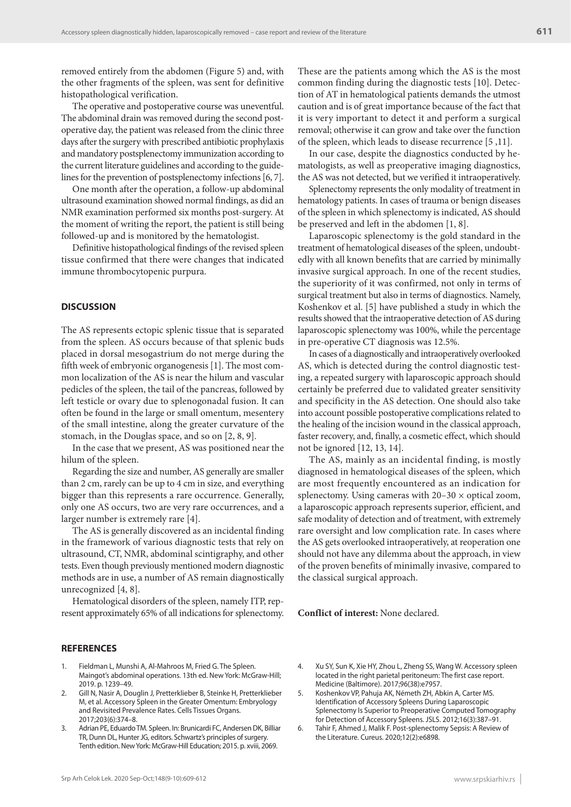removed entirely from the abdomen (Figure 5) and, with the other fragments of the spleen, was sent for definitive histopathological verification.

The operative and postoperative course was uneventful. The abdominal drain was removed during the second postoperative day, the patient was released from the clinic three days after the surgery with prescribed antibiotic prophylaxis and mandatory postsplenectomy immunization according to the current literature guidelines and according to the guidelines for the prevention of postsplenectomy infections [6, 7].

One month after the operation, a follow-up abdominal ultrasound examination showed normal findings, as did an NMR examination performed six months post-surgery. At the moment of writing the report, the patient is still being followed-up and is monitored by the hematologist.

Definitive histopathological findings of the revised spleen tissue confirmed that there were changes that indicated immune thrombocytopenic purpura.

## **DISCUSSION**

The AS represents ectopic splenic tissue that is separated from the spleen. AS occurs because of that splenic buds placed in dorsal mesogastrium do not merge during the fifth week of embryonic organogenesis [1]. The most common localization of the AS is near the hilum and vascular pedicles of the spleen, the tail of the pancreas, followed by left testicle or ovary due to splenogonadal fusion. It can often be found in the large or small omentum, mesentery of the small intestine, along the greater curvature of the stomach, in the Douglas space, and so on [2, 8, 9].

In the case that we present, AS was positioned near the hilum of the spleen.

Regarding the size and number, AS generally are smaller than 2 cm, rarely can be up to 4 cm in size, and everything bigger than this represents a rare occurrence. Generally, only one AS occurs, two are very rare occurrences, and a larger number is extremely rare [4].

The AS is generally discovered as an incidental finding in the framework of various diagnostic tests that rely on ultrasound, CT, NMR, abdominal scintigraphy, and other tests. Even though previously mentioned modern diagnostic methods are in use, a number of AS remain diagnostically unrecognized [4, 8].

Hematological disorders of the spleen, namely ITP, represent approximately 65% of all indications for splenectomy.

#### **REFERENCES**

- Fieldman L, Munshi A, Al-Mahroos M, Fried G. The Spleen. Maingot's abdominal operations. 13th ed. New York: McGraw-Hill; 2019. p. 1239–49.
- 2. Gill N, Nasir A, Douglin J, Pretterklieber B, Steinke H, Pretterklieber M, et al. Accessory Spleen in the Greater Omentum: Embryology and Revisited Prevalence Rates. Cells Tissues Organs. 2017;203(6):374–8.
- 3. Adrian PE, Eduardo TM. Spleen. In: Brunicardi FC, Andersen DK, Billiar TR, Dunn DL, Hunter JG, editors. Schwartz's principles of surgery. Tenth edition. New York: McGraw-Hill Education; 2015. p. xviii, 2069.

These are the patients among which the AS is the most common finding during the diagnostic tests [10]. Detection of AT in hematological patients demands the utmost caution and is of great importance because of the fact that it is very important to detect it and perform a surgical removal; otherwise it can grow and take over the function of the spleen, which leads to disease recurrence [5 ,11].

In our case, despite the diagnostics conducted by hematologists, as well as preoperative imaging diagnostics, the AS was not detected, but we verified it intraoperatively.

Splenectomy represents the only modality of treatment in hematology patients. In cases of trauma or benign diseases of the spleen in which splenectomy is indicated, AS should be preserved and left in the abdomen [1, 8].

Laparoscopic splenectomy is the gold standard in the treatment of hematological diseases of the spleen, undoubtedly with all known benefits that are carried by minimally invasive surgical approach. In one of the recent studies, the superiority of it was confirmed, not only in terms of surgical treatment but also in terms of diagnostics. Namely, Koshenkov et al. [5] have published a study in which the results showed that the intraoperative detection of AS during laparoscopic splenectomy was 100%, while the percentage in pre-operative CT diagnosis was 12.5%.

In cases of a diagnostically and intraoperatively overlooked AS, which is detected during the control diagnostic testing, a repeated surgery with laparoscopic approach should certainly be preferred due to validated greater sensitivity and specificity in the AS detection. One should also take into account possible postoperative complications related to the healing of the incision wound in the classical approach, faster recovery, and, finally, a cosmetic effect, which should not be ignored [12, 13, 14].

The AS, mainly as an incidental finding, is mostly diagnosed in hematological diseases of the spleen, which are most frequently encountered as an indication for splenectomy. Using cameras with  $20-30 \times$  optical zoom, a laparoscopic approach represents superior, efficient, and safe modality of detection and of treatment, with extremely rare oversight and low complication rate. In cases where the AS gets overlooked intraoperatively, at reoperation one should not have any dilemma about the approach, in view of the proven benefits of minimally invasive, compared to the classical surgical approach.

**Conflict of interest:** None declared.

- 4. Xu SY, Sun K, Xie HY, Zhou L, Zheng SS, Wang W. Accessory spleen located in the right parietal peritoneum: The first case report. Medicine (Baltimore). 2017;96(38):e7957.
- 5. Koshenkov VP, Pahuja AK, Németh ZH, Abkin A, Carter MS. Identification of Accessory Spleens During Laparoscopic Splenectomy Is Superior to Preoperative Computed Tomography for Detection of Accessory Spleens. JSLS. 2012;16(3):387–91.
- 6. Tahir F, Ahmed J, Malik F. Post-splenectomy Sepsis: A Review of the Literature. Cureus. 2020;12(2):e6898.